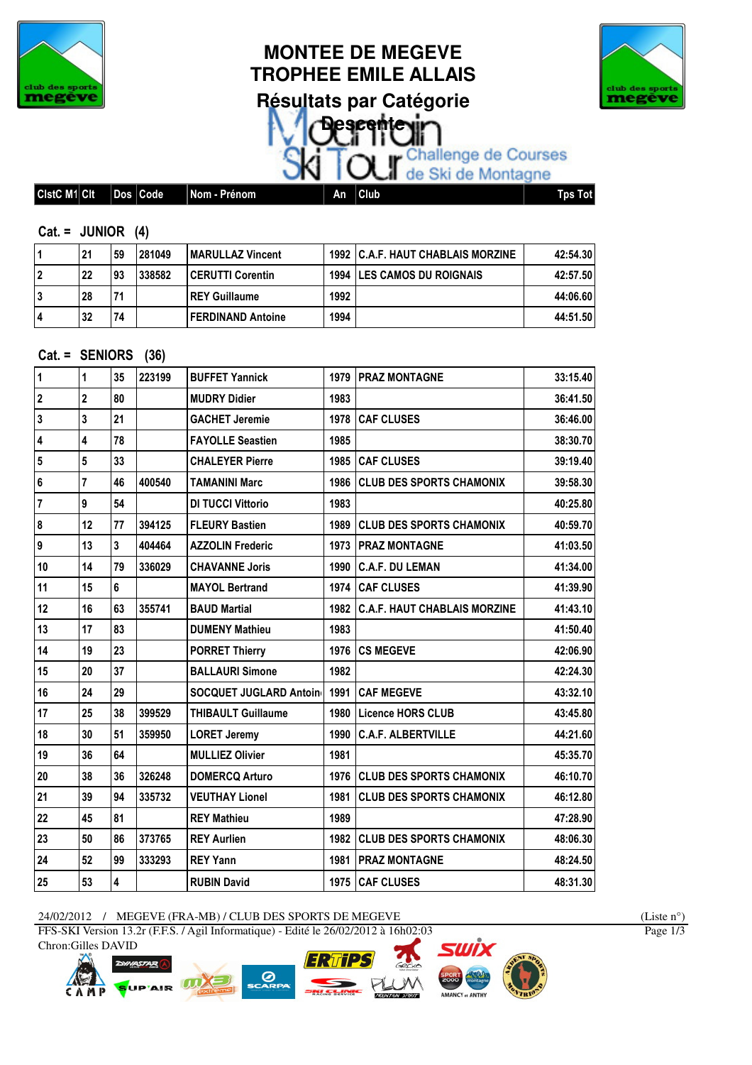

# **MONTEE DE MEGEVE TROPHEE EMILE ALLAIS Résultats par Catégorie Descr**



OUT Challenge de Courses

|  | CistC M1 Cit |  | _<br>. | ∣Code | --<br>-<br>Prénom<br>Nom -<br>. . | Αn | Club | Tɒs Tot |
|--|--------------|--|--------|-------|-----------------------------------|----|------|---------|
|--|--------------|--|--------|-------|-----------------------------------|----|------|---------|

#### $Cat = JUNIOR (4)$

|   | 21 | 59        | 281049 | <b>IMARULLAZ Vincent</b> |      | <b>1992 IC.A.F. HAUT CHABLAIS MORZINE</b> | 42:54.30 |
|---|----|-----------|--------|--------------------------|------|-------------------------------------------|----------|
|   | 22 | <b>93</b> | 338582 | <b>CERUTTI Corentin</b>  |      | <b>1994 ILES CAMOS DU ROIGNAIS</b>        | 42:57.50 |
|   | 28 | 71        |        | <b>IREY Guillaume</b>    | 1992 |                                           | 44:06.60 |
| 4 | 32 | 74        |        | l FERDINAND Antoine      | 1994 |                                           | 44:51.50 |

### Cat. = SENIORS (36)

| 1                       | 1               | 35 | 223199 | <b>BUFFET Yannick</b>         |      | <b>1979   PRAZ MONTAGNE</b>       | 33:15.40 |
|-------------------------|-----------------|----|--------|-------------------------------|------|-----------------------------------|----------|
| $\overline{2}$          | $\overline{2}$  | 80 |        | <b>MUDRY Didier</b>           | 1983 |                                   | 36:41.50 |
| $\overline{\mathbf{3}}$ | 3               | 21 |        | <b>GACHET Jeremie</b>         | 1978 | <b>CAF CLUSES</b>                 | 36:46.00 |
| $\overline{\mathbf{4}}$ | 4               | 78 |        | <b>FAYOLLE Seastien</b>       | 1985 |                                   | 38:30.70 |
| $5\phantom{.0}$         | $5\phantom{.0}$ | 33 |        | <b>CHALEYER Pierre</b>        |      | 1985 CAF CLUSES                   | 39:19.40 |
| 6                       | $\overline{7}$  | 46 | 400540 | <b>TAMANINI Marc</b>          | 1986 | <b>CLUB DES SPORTS CHAMONIX</b>   | 39:58.30 |
| $\overline{7}$          | 9               | 54 |        | <b>DI TUCCI Vittorio</b>      | 1983 |                                   | 40:25.80 |
| 8                       | 12              | 77 | 394125 | <b>FLEURY Bastien</b>         | 1989 | <b>ICLUB DES SPORTS CHAMONIX</b>  | 40:59.70 |
| 9                       | 13              | 3  | 404464 | <b>AZZOLIN Frederic</b>       |      | 1973   PRAZ MONTAGNE              | 41:03.50 |
| 10                      | 14              | 79 | 336029 | <b>CHAVANNE Joris</b>         | 1990 | <b>C.A.F. DU LEMAN</b>            | 41:34.00 |
| 11                      | 15              | 6  |        | <b>MAYOL Bertrand</b>         |      | 1974 CAF CLUSES                   | 41:39.90 |
| 12                      | 16              | 63 | 355741 | <b>BAUD Martial</b>           |      | 1982 C.A.F. HAUT CHABLAIS MORZINE | 41:43.10 |
| 13                      | 17              | 83 |        | <b>DUMENY Mathieu</b>         | 1983 |                                   | 41:50.40 |
| 14                      | 19              | 23 |        | <b>PORRET Thierry</b>         |      | 1976 ICS MEGEVE                   | 42:06.90 |
| 15                      | 20              | 37 |        | <b>BALLAURI Simone</b>        | 1982 |                                   | 42:24.30 |
| 16                      | 24              | 29 |        | <b>SOCQUET JUGLARD Antoin</b> |      | 1991   CAF MEGEVE                 | 43:32.10 |
| 17                      | 25              | 38 | 399529 | <b>THIBAULT Guillaume</b>     | 1980 | Licence HORS CLUB                 | 43:45.80 |
| 18                      | 30              | 51 | 359950 | <b>LORET Jeremy</b>           | 1990 | <b>C.A.F. ALBERTVILLE</b>         | 44:21.60 |
| 19                      | 36              | 64 |        | <b>MULLIEZ Olivier</b>        | 1981 |                                   | 45:35.70 |
| 20                      | 38              | 36 | 326248 | <b>DOMERCQ Arturo</b>         | 1976 | <b>CLUB DES SPORTS CHAMONIX</b>   | 46:10.70 |
| 21                      | 39              | 94 | 335732 | <b>VEUTHAY Lionel</b>         | 1981 | <b>CLUB DES SPORTS CHAMONIX</b>   | 46:12.80 |
| 22                      | 45              | 81 |        | <b>REY Mathieu</b>            | 1989 |                                   | 47:28.90 |
| 23                      | 50              | 86 | 373765 | <b>REY Aurlien</b>            | 1982 | <b>CLUB DES SPORTS CHAMONIX</b>   | 48:06.30 |
| 24                      | 52              | 99 | 333293 | <b>REY Yann</b>               | 1981 | <b>PRAZ MONTAGNE</b>              | 48:24.50 |
| 25                      | 53              | 4  |        | <b>RUBIN David</b>            |      | 1975 CAF CLUSES                   | 48:31.30 |

24/02/2012 / MEGEVE (FRA-MB) / CLUB DES SPORTS DE MEGEVE (Liste n°)

FFS-SKI Version 13.2r (F.F.S. / Agil Informatique) - Edité le 26/02/2012 à 16h02:03 Chron:Gilles DAVID









Page  $1/3$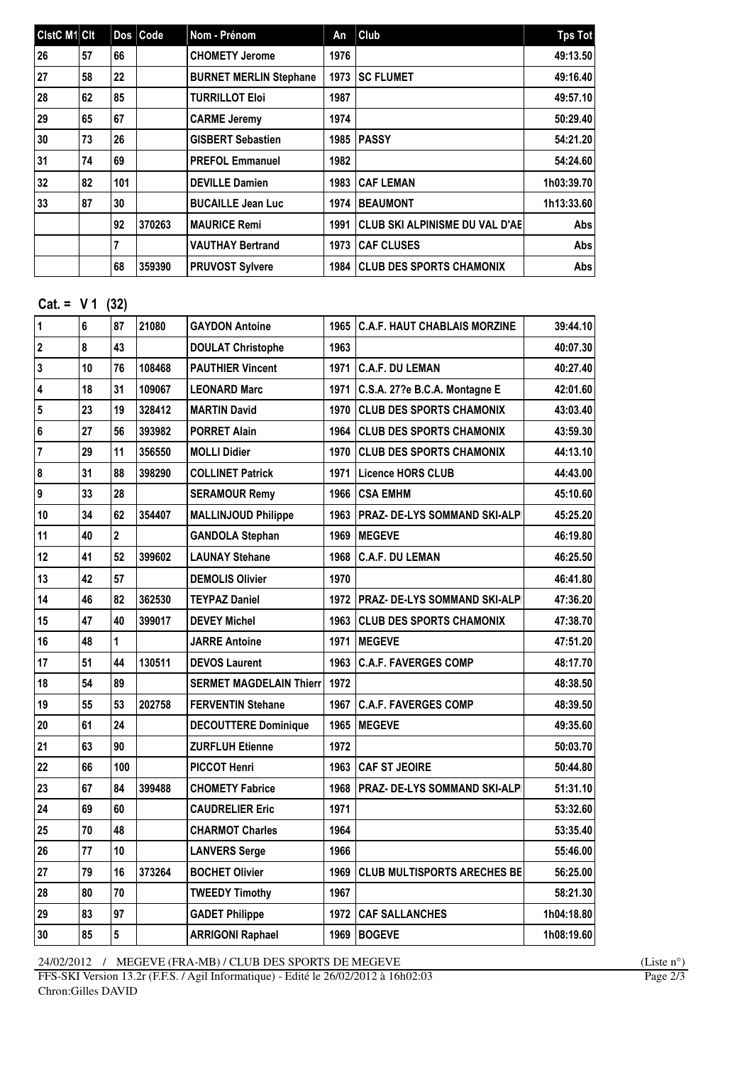| <b>CistC M1 Cit</b> |    |     | Dos Code | Nom - Prénom                  | An   | Club                                  | Tps Tot    |
|---------------------|----|-----|----------|-------------------------------|------|---------------------------------------|------------|
| 26                  | 57 | 66  |          | <b>CHOMETY Jerome</b>         | 1976 |                                       | 49:13.50   |
| 27                  | 58 | 22  |          | <b>BURNET MERLIN Stephane</b> | 1973 | <b>ISC FLUMET</b>                     | 49:16.40   |
| 28                  | 62 | 85  |          | <b>TURRILLOT Eloi</b>         | 1987 |                                       | 49:57.10   |
| 29                  | 65 | 67  |          | <b>CARME Jeremy</b>           | 1974 |                                       | 50:29.40   |
| 30                  | 73 | 26  |          | <b>GISBERT Sebastien</b>      | 1985 | <b>PASSY</b>                          | 54:21.20   |
| 31                  | 74 | 69  |          | <b>PREFOL Emmanuel</b>        | 1982 |                                       | 54:24.60   |
| 32                  | 82 | 101 |          | <b>DEVILLE Damien</b>         | 1983 | <b>CAF LEMAN</b>                      | 1h03:39.70 |
| 33                  | 87 | 30  |          | <b>BUCAILLE Jean Luc</b>      | 1974 | <b>BEAUMONT</b>                       | 1h13:33.60 |
|                     |    | 92  | 370263   | <b>MAURICE Remi</b>           | 1991 | <b>CLUB SKI ALPINISME DU VAL D'AE</b> | Abs        |
|                     |    | 7   |          | <b>VAUTHAY Bertrand</b>       | 1973 | <b>CAF CLUSES</b>                     | Abs l      |
|                     |    | 68  | 359390   | <b>PRUVOST Sylvere</b>        | 1984 | <b>CLUB DES SPORTS CHAMONIX</b>       | Abs l      |

# $Cat. = V 1 (32)$

| $\mathbf{1}$            | 6  | 87                      | 21080  | <b>GAYDON Antoine</b>          | 1965 | <b>C.A.F. HAUT CHABLAIS MORZINE</b>  | 39:44.10   |
|-------------------------|----|-------------------------|--------|--------------------------------|------|--------------------------------------|------------|
| $\overline{\mathbf{2}}$ | 8  | 43                      |        | <b>DOULAT Christophe</b>       | 1963 |                                      | 40:07.30   |
| 3                       | 10 | 76                      | 108468 | <b>PAUTHIER Vincent</b>        | 1971 | <b>C.A.F. DU LEMAN</b>               | 40:27.40   |
| 4                       | 18 | 31                      | 109067 | <b>LEONARD Marc</b>            | 1971 | C.S.A. 27?e B.C.A. Montagne E        | 42:01.60   |
| 5                       | 23 | 19                      | 328412 | <b>MARTIN David</b>            | 1970 | <b>CLUB DES SPORTS CHAMONIX</b>      | 43:03.40   |
| 6                       | 27 | 56                      | 393982 | <b>PORRET Alain</b>            | 1964 | <b>CLUB DES SPORTS CHAMONIX</b>      | 43:59.30   |
| $\overline{7}$          | 29 | 11                      | 356550 | <b>MOLLI Didier</b>            | 1970 | <b>CLUB DES SPORTS CHAMONIX</b>      | 44:13.10   |
| 8                       | 31 | 88                      | 398290 | <b>COLLINET Patrick</b>        | 1971 | Licence HORS CLUB                    | 44:43.00   |
| 9                       | 33 | 28                      |        | <b>SERAMOUR Remy</b>           | 1966 | <b>ICSA EMHM</b>                     | 45:10.60   |
| 10                      | 34 | 62                      | 354407 | <b>MALLINJOUD Philippe</b>     |      | 1963   PRAZ- DE-LYS SOMMAND SKI-ALPI | 45:25.20   |
| 11                      | 40 | $\overline{\mathbf{c}}$ |        | <b>GANDOLA Stephan</b>         | 1969 | <b>IMEGEVE</b>                       | 46:19.80   |
| 12                      | 41 | 52                      | 399602 | <b>LAUNAY Stehane</b>          | 1968 | <b>C.A.F. DU LEMAN</b>               | 46:25.50   |
| 13                      | 42 | 57                      |        | <b>DEMOLIS Olivier</b>         | 1970 |                                      | 46:41.80   |
| 14                      | 46 | 82                      | 362530 | <b>TEYPAZ Daniel</b>           |      | 1972   PRAZ- DE-LYS SOMMAND SKI-ALPI | 47:36.20   |
| 15                      | 47 | 40                      | 399017 | <b>DEVEY Michel</b>            | 1963 | <b>CLUB DES SPORTS CHAMONIX</b>      | 47:38.70   |
| 16                      | 48 | 1                       |        | <b>JARRE Antoine</b>           | 1971 | <b>IMEGEVE</b>                       | 47:51.20   |
| 17                      | 51 | 44                      | 130511 | <b>DEVOS Laurent</b>           | 1963 | <b>C.A.F. FAVERGES COMP</b>          | 48:17.70   |
| 18                      | 54 | 89                      |        | <b>SERMET MAGDELAIN Thierr</b> | 1972 |                                      | 48:38.50   |
| 19                      | 55 | 53                      | 202758 | <b>FERVENTIN Stehane</b>       | 1967 | <b>C.A.F. FAVERGES COMP</b>          | 48:39.50   |
| 20                      | 61 | 24                      |        | <b>DECOUTTERE Dominique</b>    |      | 1965   MEGEVE                        | 49:35.60   |
| 21                      | 63 | 90                      |        | <b>ZURFLUH Etienne</b>         | 1972 |                                      | 50:03.70   |
| 22                      | 66 | 100                     |        | <b>PICCOT Henri</b>            |      | 1963 CAF ST JEOIRE                   | 50:44.80   |
| 23                      | 67 | 84                      | 399488 | <b>CHOMETY Fabrice</b>         | 1968 | <b>PRAZ- DE-LYS SOMMAND SKI-ALPI</b> | 51:31.10   |
| 24                      | 69 | 60                      |        | <b>CAUDRELIER Eric</b>         | 1971 |                                      | 53:32.60   |
| 25                      | 70 | 48                      |        | <b>CHARMOT Charles</b>         | 1964 |                                      | 53:35.40   |
| 26                      | 77 | 10                      |        | <b>LANVERS Serge</b>           | 1966 |                                      | 55:46.00   |
| 27                      | 79 | 16                      | 373264 | <b>BOCHET Olivier</b>          | 1969 | <b>CLUB MULTISPORTS ARECHES BE</b>   | 56:25.00   |
| 28                      | 80 | 70                      |        | <b>TWEEDY Timothy</b>          | 1967 |                                      | 58:21.30   |
| 29                      | 83 | 97                      |        | <b>GADET Philippe</b>          |      | <b>1972 ICAF SALLANCHES</b>          | 1h04:18.80 |
| 30                      | 85 | 5                       |        | <b>ARRIGONI Raphael</b>        | 1969 | <b>BOGEVE</b>                        | 1h08:19.60 |
|                         |    |                         |        |                                |      |                                      |            |

 $24/02/2012$  / MEGEVE (FRA-MB) / CLUB DES SPORTS DE MEGEVE (Liste n°) (Liste n°)